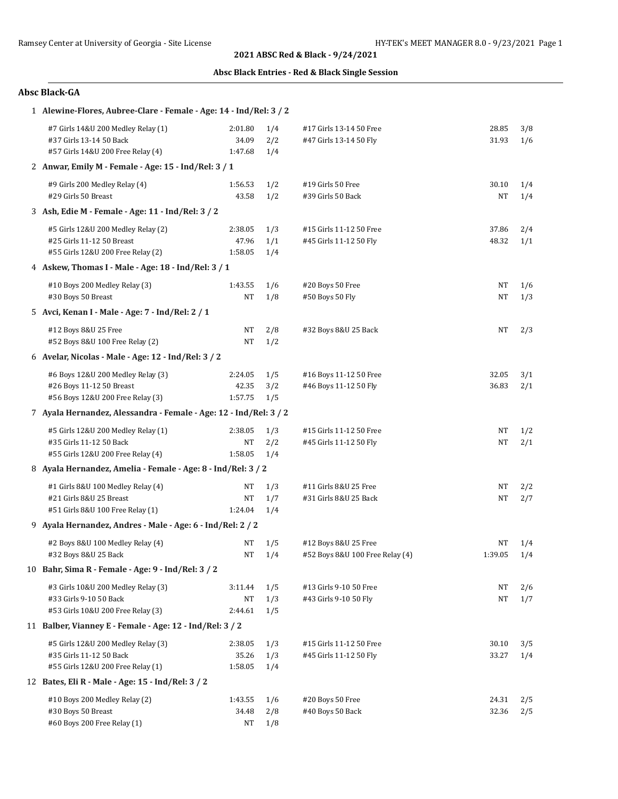## **Absc Black Entries - Red & Black Single Session**

| 1 Alewine-Flores, Aubree-Clare - Female - Age: 14 - Ind/Rel: 3 / 2                                   |                             |                   |                                                         |                 |            |
|------------------------------------------------------------------------------------------------------|-----------------------------|-------------------|---------------------------------------------------------|-----------------|------------|
| #7 Girls 14&U 200 Medley Relay (1)<br>#37 Girls 13-14 50 Back<br>#57 Girls 14&U 200 Free Relay (4)   | 2:01.80<br>34.09<br>1:47.68 | 1/4<br>2/2<br>1/4 | #17 Girls 13-14 50 Free<br>#47 Girls 13-14 50 Fly       | 28.85<br>31.93  | 3/8<br>1/6 |
| 2 Anwar, Emily M - Female - Age: 15 - Ind/Rel: 3 / 1                                                 |                             |                   |                                                         |                 |            |
| #9 Girls 200 Medley Relay (4)<br>#29 Girls 50 Breast                                                 | 1:56.53<br>43.58            | 1/2<br>1/2        | #19 Girls 50 Free<br>#39 Girls 50 Back                  | 30.10<br>NT     | 1/4<br>1/4 |
| 3 Ash, Edie M - Female - Age: 11 - Ind/Rel: 3 / 2                                                    |                             |                   |                                                         |                 |            |
| #5 Girls 12&U 200 Medley Relay (2)<br>#25 Girls 11-12 50 Breast<br>#55 Girls 12&U 200 Free Relay (2) | 2:38.05<br>47.96<br>1:58.05 | 1/3<br>1/1<br>1/4 | #15 Girls 11-12 50 Free<br>#45 Girls 11-12 50 Fly       | 37.86<br>48.32  | 2/4<br>1/1 |
| 4 Askew, Thomas I - Male - Age: 18 - Ind/Rel: 3 / 1                                                  |                             |                   |                                                         |                 |            |
| #10 Boys 200 Medley Relay (3)<br>#30 Boys 50 Breast                                                  | 1:43.55<br>NT               | 1/6<br>1/8        | #20 Boys 50 Free<br>#50 Boys 50 Fly                     | NT<br>NT        | 1/6<br>1/3 |
| 5 Avci, Kenan I - Male - Age: 7 - Ind/Rel: 2 / 1                                                     |                             |                   |                                                         |                 |            |
| #12 Boys 8&U 25 Free<br>#52 Boys 8&U 100 Free Relay (2)                                              | NT<br>NT                    | 2/8<br>1/2        | #32 Boys 8&U 25 Back                                    | NT              | 2/3        |
| 6 Avelar, Nicolas - Male - Age: 12 - Ind/Rel: 3 / 2                                                  |                             |                   |                                                         |                 |            |
| #6 Boys 12&U 200 Medley Relay (3)<br>#26 Boys 11-12 50 Breast<br>#56 Boys 12&U 200 Free Relay (3)    | 2:24.05<br>42.35<br>1:57.75 | 1/5<br>3/2<br>1/5 | #16 Boys 11-12 50 Free<br>#46 Boys 11-12 50 Fly         | 32.05<br>36.83  | 3/1<br>2/1 |
| 7 Ayala Hernandez, Alessandra - Female - Age: 12 - Ind/Rel: 3 / 2                                    |                             |                   |                                                         |                 |            |
| #5 Girls 12&U 200 Medley Relay (1)<br>#35 Girls 11-12 50 Back<br>#55 Girls 12&U 200 Free Relay (4)   | 2:38.05<br>NT<br>1:58.05    | 1/3<br>2/2<br>1/4 | #15 Girls 11-12 50 Free<br>#45 Girls 11-12 50 Fly       | NT<br><b>NT</b> | 1/2<br>2/1 |
| 8 Ayala Hernandez, Amelia - Female - Age: 8 - Ind/Rel: 3 / 2                                         |                             |                   |                                                         |                 |            |
| #1 Girls 8&U 100 Medley Relay (4)<br>#21 Girls 8&U 25 Breast<br>#51 Girls 8&U 100 Free Relay (1)     | NT<br>NT<br>1:24.04         | 1/3<br>1/7<br>1/4 | #11 Girls 8&U 25 Free<br>#31 Girls 8&U 25 Back          | NT<br>NT        | 2/2<br>2/7 |
| 9 Ayala Hernandez, Andres - Male - Age: 6 - Ind/Rel: 2 / 2                                           |                             |                   |                                                         |                 |            |
| #2 Boys 8&U 100 Medley Relay (4)<br>#32 Boys 8&U 25 Back                                             | NΤ<br>NT                    | 1/5<br>1/4        | #12 Boys 8&U 25 Free<br>#52 Boys 8&U 100 Free Relay (4) | NT<br>1:39.05   | 1/4<br>1/4 |
| 10 Bahr, Sima R - Female - Age: 9 - Ind/Rel: 3 / 2                                                   |                             |                   |                                                         |                 |            |
| #3 Girls 10&U 200 Medley Relay (3)<br>#33 Girls 9-10 50 Back<br>#53 Girls 10&U 200 Free Relay (3)    | 3:11.44<br>NT<br>2:44.61    | 1/5<br>1/3<br>1/5 | #13 Girls 9-10 50 Free<br>#43 Girls 9-10 50 Fly         | NΤ<br>NT        | 2/6<br>1/7 |
| 11 Balber, Vianney E - Female - Age: 12 - Ind/Rel: 3 / 2                                             |                             |                   |                                                         |                 |            |
| #5 Girls 12&U 200 Medley Relay (3)<br>#35 Girls 11-12 50 Back<br>#55 Girls 12&U 200 Free Relay (1)   | 2:38.05<br>35.26<br>1:58.05 | 1/3<br>1/3<br>1/4 | #15 Girls 11-12 50 Free<br>#45 Girls 11-12 50 Fly       | 30.10<br>33.27  | 3/5<br>1/4 |
| 12 Bates, Eli R - Male - Age: 15 - Ind/Rel: 3 / 2                                                    |                             |                   |                                                         |                 |            |
| #10 Boys 200 Medley Relay (2)<br>#30 Boys 50 Breast<br>#60 Boys 200 Free Relay (1)                   | 1:43.55<br>34.48<br>NT      | 1/6<br>2/8<br>1/8 | #20 Boys 50 Free<br>#40 Boys 50 Back                    | 24.31<br>32.36  | 2/5<br>2/5 |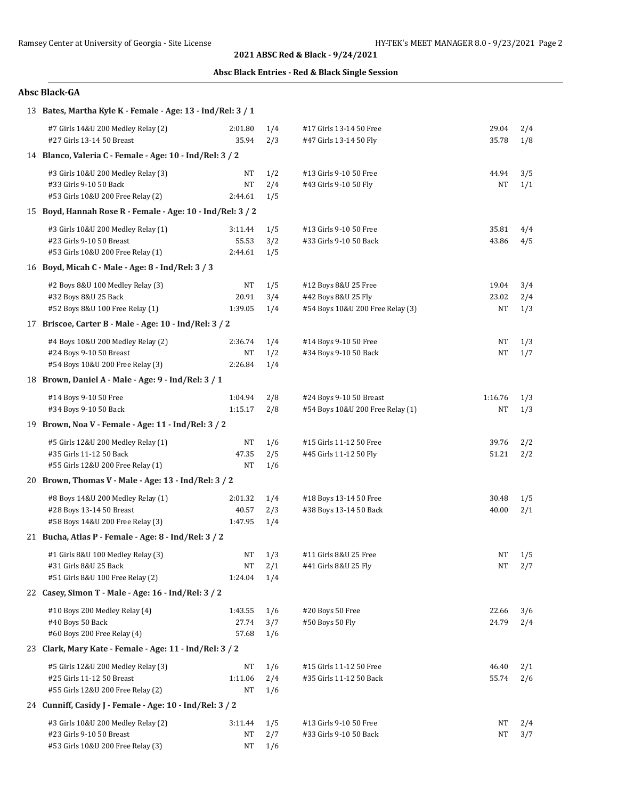## **Absc Black Entries - Red & Black Single Session**

| 13 Bates, Martha Kyle K - Female - Age: 13 - Ind/Rel: 3 / 1                                          |                             |                          |                                                                                 |                      |                   |
|------------------------------------------------------------------------------------------------------|-----------------------------|--------------------------|---------------------------------------------------------------------------------|----------------------|-------------------|
| #7 Girls 14&U 200 Medley Relay (2)<br>#27 Girls 13-14 50 Breast                                      | 2:01.80<br>35.94            | 1/4<br>2/3               | #17 Girls 13-14 50 Free<br>#47 Girls 13-14 50 Fly                               | 29.04<br>35.78       | 2/4<br>1/8        |
| 14 Blanco, Valeria C - Female - Age: 10 - Ind/Rel: 3 / 2                                             |                             |                          |                                                                                 |                      |                   |
| #3 Girls 10&U 200 Medley Relay (3)<br>#33 Girls 9-10 50 Back<br>#53 Girls 10&U 200 Free Relay (2)    | NT<br>NT<br>2:44.61         | 1/2<br>2/4<br>1/5        | #13 Girls 9-10 50 Free<br>#43 Girls 9-10 50 Fly                                 | 44.94<br>NT          | 3/5<br>1/1        |
| 15 Boyd, Hannah Rose R - Female - Age: 10 - Ind/Rel: 3 / 2                                           |                             |                          |                                                                                 |                      |                   |
| #3 Girls 10&U 200 Medley Relay (1)<br>#23 Girls 9-10 50 Breast<br>#53 Girls 10&U 200 Free Relay (1)  | 3:11.44<br>55.53<br>2:44.61 | 1/5<br>3/2<br>1/5        | #13 Girls 9-10 50 Free<br>#33 Girls 9-10 50 Back                                | 35.81<br>43.86       | 4/4<br>4/5        |
| 16 Boyd, Micah C - Male - Age: 8 - Ind/Rel: 3/3                                                      |                             |                          |                                                                                 |                      |                   |
| #2 Boys 8&U 100 Medley Relay (3)<br>#32 Boys 8&U 25 Back<br>#52 Boys 8&U 100 Free Relay (1)          | NT<br>20.91<br>1:39.05      | 1/5<br>3/4<br>1/4        | #12 Boys 8&U 25 Free<br>#42 Boys 8&U 25 Fly<br>#54 Boys 10&U 200 Free Relay (3) | 19.04<br>23.02<br>NT | 3/4<br>2/4<br>1/3 |
| 17 Briscoe, Carter B - Male - Age: 10 - Ind/Rel: 3 / 2                                               |                             |                          |                                                                                 |                      |                   |
| #4 Boys 10&U 200 Medley Relay (2)<br>#24 Boys 9-10 50 Breast<br>#54 Boys 10&U 200 Free Relay (3)     | 2:36.74<br>NT<br>2:26.84    | 1/4<br>1/2<br>1/4        | #14 Boys 9-10 50 Free<br>#34 Boys 9-10 50 Back                                  | NT<br><b>NT</b>      | 1/3<br>1/7        |
| 18 Brown, Daniel A - Male - Age: 9 - Ind/Rel: 3 / 1                                                  |                             |                          |                                                                                 |                      |                   |
| #14 Boys 9-10 50 Free<br>#34 Boys 9-10 50 Back                                                       | 1:04.94<br>1:15.17          | 2/8<br>2/8               | #24 Boys 9-10 50 Breast<br>#54 Boys 10&U 200 Free Relay (1)                     | 1:16.76<br><b>NT</b> | 1/3<br>1/3        |
| 19 Brown, Noa V - Female - Age: 11 - Ind/Rel: 3 / 2                                                  |                             |                          |                                                                                 |                      |                   |
| #5 Girls 12&U 200 Medley Relay (1)<br>#35 Girls 11-12 50 Back<br>#55 Girls 12&U 200 Free Relay (1)   | NT<br>47.35<br>NT           | 1/6<br>2/5<br>1/6        | #15 Girls 11-12 50 Free<br>#45 Girls 11-12 50 Fly                               | 39.76<br>51.21       | 2/2<br>2/2        |
| 20 Brown, Thomas V - Male - Age: 13 - Ind/Rel: 3 / 2                                                 |                             |                          |                                                                                 |                      |                   |
| #8 Boys 14&U 200 Medley Relay (1)<br>#28 Boys 13-14 50 Breast<br>#58 Boys 14&U 200 Free Relay (3)    | 2:01.32<br>40.57<br>1:47.95 | 1/4<br>2/3<br>1/4        | #18 Boys 13-14 50 Free<br>#38 Boys 13-14 50 Back                                | 30.48<br>40.00       | 1/5<br>2/1        |
| 21 Bucha, Atlas P - Female - Age: 8 - Ind/Rel: 3 / 2                                                 |                             |                          |                                                                                 |                      |                   |
| #1 Girls 8&U 100 Medley Relay (3)<br>#31 Girls 8&U 25 Back<br>#51 Girls 8&U 100 Free Relay (2)       | NT<br>1:24.04               | $NT = 1/3$<br>2/1<br>1/4 | #11 Girls 8&U 25 Free<br>#41 Girls 8&U 25 Fly                                   | NT                   | $NT$ 1/5<br>2/7   |
| 22 Casey, Simon T - Male - Age: 16 - Ind/Rel: 3 / 2                                                  |                             |                          |                                                                                 |                      |                   |
| #10 Boys 200 Medley Relay (4)<br>#40 Boys 50 Back<br>#60 Boys 200 Free Relay (4)                     | 1:43.55<br>27.74<br>57.68   | 1/6<br>3/7<br>1/6        | #20 Boys 50 Free<br>#50 Boys 50 Fly                                             | 22.66<br>24.79       | 3/6<br>2/4        |
| 23 Clark, Mary Kate - Female - Age: 11 - Ind/Rel: 3 / 2                                              |                             |                          |                                                                                 |                      |                   |
| #5 Girls 12&U 200 Medley Relay (3)<br>#25 Girls 11-12 50 Breast<br>#55 Girls 12&U 200 Free Relay (2) | NΤ<br>1:11.06<br>NT         | 1/6<br>2/4<br>1/6        | #15 Girls 11-12 50 Free<br>#35 Girls 11-12 50 Back                              | 46.40<br>55.74       | 2/1<br>2/6        |
| 24 Cunniff, Casidy J - Female - Age: 10 - Ind/Rel: 3 / 2                                             |                             |                          |                                                                                 |                      |                   |
| #3 Girls 10&U 200 Medley Relay (2)<br>#23 Girls 9-10 50 Breast<br>#53 Girls 10&U 200 Free Relay (3)  | 3:11.44<br>NT<br>NT         | 1/5<br>2/7<br>1/6        | #13 Girls 9-10 50 Free<br>#33 Girls 9-10 50 Back                                | NΤ<br>NT             | 2/4<br>3/7        |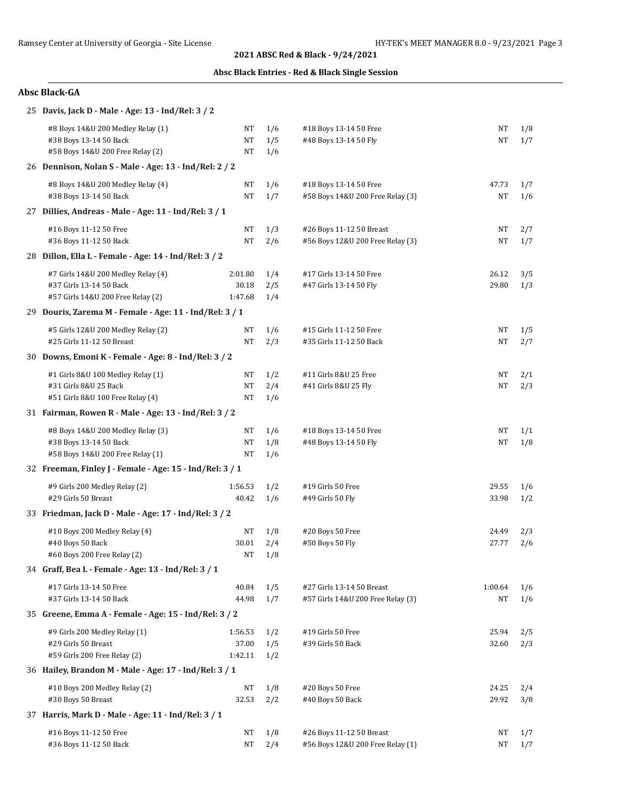## **Absc Black Entries - Red & Black Single Session**

| 25 Davis, Jack D - Male - Age: 13 - Ind/Rel: 3 / 2         |                  |            |                                       |                |            |
|------------------------------------------------------------|------------------|------------|---------------------------------------|----------------|------------|
| #8 Boys 14&U 200 Medley Relay (1)                          | NΤ               | 1/6        | #18 Boys 13-14 50 Free                | NT             | 1/8        |
| #38 Boys 13-14 50 Back                                     | NT               | 1/5        | #48 Boys 13-14 50 Fly                 | NT             | 1/7        |
| #58 Boys 14&U 200 Free Relay (2)                           | NT               | 1/6        |                                       |                |            |
| 26 Dennison, Nolan S - Male - Age: 13 - Ind/Rel: 2 / 2     |                  |            |                                       |                |            |
| #8 Boys 14&U 200 Medley Relay (4)                          | NT               | 1/6        | #18 Boys 13-14 50 Free                | 47.73          | 1/7        |
| #38 Boys 13-14 50 Back                                     | NT               | 1/7        | #58 Boys 14&U 200 Free Relay (3)      | NT             | 1/6        |
| 27 Dillies, Andreas - Male - Age: 11 - Ind/Rel: 3 / 1      |                  |            |                                       |                |            |
| #16 Boys 11-12 50 Free                                     | NT               | 1/3        | #26 Boys 11-12 50 Breast              | NT             | 2/7        |
| #36 Boys 11-12 50 Back                                     | <b>NT</b>        | 2/6        | #56 Boys 12&U 200 Free Relay (3)      | NT             | 1/7        |
| 28 Dillon, Ella L - Female - Age: 14 - Ind/Rel: 3 / 2      |                  |            |                                       |                |            |
| #7 Girls 14&U 200 Medley Relay (4)                         | 2:01.80          | 1/4        | #17 Girls 13-14 50 Free               | 26.12          | 3/5        |
| #37 Girls 13-14 50 Back                                    | 30.18            | 2/5        | #47 Girls 13-14 50 Fly                | 29.80          | 1/3        |
| #57 Girls 14&U 200 Free Relay (2)                          | 1:47.68          | 1/4        |                                       |                |            |
| 29 Douris, Zarema M - Female - Age: 11 - Ind/Rel: 3 / 1    |                  |            |                                       |                |            |
| #5 Girls 12&U 200 Medley Relay (2)                         | NT               | 1/6        | #15 Girls 11-12 50 Free               | NT             | 1/5        |
| #25 Girls 11-12 50 Breast                                  | <b>NT</b>        | 2/3        | #35 Girls 11-12 50 Back               | NT             | 2/7        |
| 30 Downs, Emoni K - Female - Age: 8 - Ind/Rel: 3 / 2       |                  |            |                                       |                |            |
| #1 Girls 8&U 100 Medley Relay (1)                          | NT               | 1/2        | #11 Girls 8&U 25 Free                 | NT             | 2/1        |
| #31 Girls 8&U 25 Back                                      | <b>NT</b>        | 2/4        | #41 Girls 8&U 25 Fly                  | NT             | 2/3        |
| #51 Girls 8&U 100 Free Relay (4)                           | NT               | 1/6        |                                       |                |            |
| 31 Fairman, Rowen R - Male - Age: 13 - Ind/Rel: 3 / 2      |                  |            |                                       |                |            |
| #8 Boys 14&U 200 Medley Relay (3)                          | NT               | 1/6        | #18 Boys 13-14 50 Free                | NT             | 1/1        |
| #38 Boys 13-14 50 Back<br>#58 Boys 14&U 200 Free Relay (1) | NT<br>NT         | 1/8<br>1/6 | #48 Boys 13-14 50 Fly                 | NT             | 1/8        |
| 32 Freeman, Finley J - Female - Age: 15 - Ind/Rel: 3 / 1   |                  |            |                                       |                |            |
|                                                            |                  |            |                                       |                |            |
| #9 Girls 200 Medley Relay (2)<br>#29 Girls 50 Breast       | 1:56.53<br>40.42 | 1/2<br>1/6 | #19 Girls 50 Free<br>#49 Girls 50 Fly | 29.55<br>33.98 | 1/6<br>1/2 |
| 33 Friedman, Jack D - Male - Age: 17 - Ind/Rel: 3 / 2      |                  |            |                                       |                |            |
|                                                            |                  |            |                                       |                |            |
| #10 Boys 200 Medley Relay (4)<br>#40 Boys 50 Back          | NT<br>30.01      | 1/8<br>2/4 | #20 Boys 50 Free<br>#50 Boys 50 Fly   | 24.49<br>27.77 | 2/3<br>2/6 |
| #60 Boys 200 Free Relay (2)                                | NT               | 1/8        |                                       |                |            |
| 34 Graff, Bea L - Female - Age: 13 - Ind/Rel: 3 / 1        |                  |            |                                       |                |            |
| #17 Girls 13-14 50 Free                                    | 40.84            | 1/5        | #27 Girls 13-14 50 Breast             | 1:00.64        | 1/6        |
| #37 Girls 13-14 50 Back                                    | 44.98            | 1/7        | #57 Girls 14&U 200 Free Relay (3)     | NT             | 1/6        |
| 35 Greene, Emma A - Female - Age: 15 - Ind/Rel: 3 / 2      |                  |            |                                       |                |            |
| #9 Girls 200 Medley Relay (1)                              | 1:56.53          | 1/2        | #19 Girls 50 Free                     | 25.94          | 2/5        |
| #29 Girls 50 Breast                                        | 37.00            | 1/5        | #39 Girls 50 Back                     | 32.60          | 2/3        |
| #59 Girls 200 Free Relay (2)                               | 1:42.11          | 1/2        |                                       |                |            |
| 36 Hailey, Brandon M - Male - Age: 17 - Ind/Rel: 3 / 1     |                  |            |                                       |                |            |
| #10 Boys 200 Medley Relay (2)                              | NT               | 1/8        | #20 Boys 50 Free                      | 24.25          | 2/4        |
| #30 Boys 50 Breast                                         | 32.53            | 2/2        | #40 Boys 50 Back                      | 29.92          | 3/8        |
| 37 Harris, Mark D - Male - Age: 11 - Ind/Rel: 3 / 1        |                  |            |                                       |                |            |
| #16 Boys 11-12 50 Free                                     | NT               | 1/8        | #26 Boys 11-12 50 Breast              | NΤ             | 1/7        |
| #36 Boys 11-12 50 Back                                     | NT               | 2/4        | #56 Boys 12&U 200 Free Relay (1)      | NT             | 1/7        |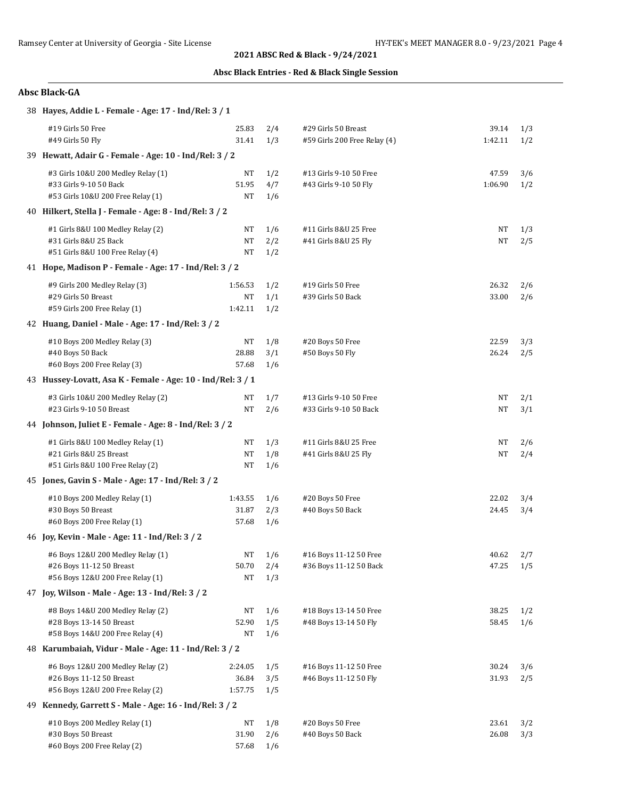## **Absc Black Entries - Red & Black Single Session**

| 38 Hayes, Addie L - Female - Age: 17 - Ind/Rel: 3 / 1       |         |     |                              |           |     |
|-------------------------------------------------------------|---------|-----|------------------------------|-----------|-----|
| #19 Girls 50 Free                                           | 25.83   | 2/4 | #29 Girls 50 Breast          | 39.14     | 1/3 |
| #49 Girls 50 Fly                                            | 31.41   | 1/3 | #59 Girls 200 Free Relay (4) | 1:42.11   | 1/2 |
| 39 Hewatt, Adair G - Female - Age: 10 - Ind/Rel: 3 / 2      |         |     |                              |           |     |
| #3 Girls 10&U 200 Medley Relay (1)                          | NΤ      | 1/2 | #13 Girls 9-10 50 Free       | 47.59     | 3/6 |
| #33 Girls 9-10 50 Back                                      | 51.95   | 4/7 | #43 Girls 9-10 50 Fly        | 1:06.90   | 1/2 |
| #53 Girls 10&U 200 Free Relay (1)                           | NΤ      | 1/6 |                              |           |     |
| 40 Hilkert, Stella J - Female - Age: 8 - Ind/Rel: 3 / 2     |         |     |                              |           |     |
| #1 Girls 8&U 100 Medley Relay (2)                           | NT      | 1/6 | #11 Girls 8&U 25 Free        | NT        | 1/3 |
| #31 Girls 8&U 25 Back                                       | NT      | 2/2 | #41 Girls 8&U 25 Fly         | NT        | 2/5 |
| #51 Girls 8&U 100 Free Relay (4)                            | NT      | 1/2 |                              |           |     |
| 41 Hope, Madison P - Female - Age: 17 - Ind/Rel: 3 / 2      |         |     |                              |           |     |
| #9 Girls 200 Medley Relay (3)                               | 1:56.53 | 1/2 | #19 Girls 50 Free            | 26.32     | 2/6 |
| #29 Girls 50 Breast                                         | NT      | 1/1 | #39 Girls 50 Back            | 33.00     | 2/6 |
| #59 Girls 200 Free Relay (1)                                | 1:42.11 | 1/2 |                              |           |     |
| 42 Huang, Daniel - Male - Age: 17 - Ind/Rel: 3 / 2          |         |     |                              |           |     |
| #10 Boys 200 Medley Relay (3)                               | NΤ      | 1/8 | #20 Boys 50 Free             | 22.59     | 3/3 |
| #40 Boys 50 Back                                            | 28.88   | 3/1 | #50 Boys 50 Fly              | 26.24     | 2/5 |
| #60 Boys 200 Free Relay (3)                                 | 57.68   | 1/6 |                              |           |     |
| 43 Hussey-Lovatt, Asa K - Female - Age: 10 - Ind/Rel: 3 / 1 |         |     |                              |           |     |
| #3 Girls 10&U 200 Medley Relay (2)                          | NT      | 1/7 | #13 Girls 9-10 50 Free       | NT        | 2/1 |
| #23 Girls 9-10 50 Breast                                    | NT      | 2/6 | #33 Girls 9-10 50 Back       | <b>NT</b> | 3/1 |
| 44 Johnson, Juliet E - Female - Age: 8 - Ind/Rel: 3 / 2     |         |     |                              |           |     |
| #1 Girls 8&U 100 Medley Relay (1)                           | NT      | 1/3 | #11 Girls 8&U 25 Free        | NT        | 2/6 |
| #21 Girls 8&U 25 Breast                                     | NΤ      | 1/8 | #41 Girls 8&U 25 Fly         | NT        | 2/4 |
| #51 Girls 8&U 100 Free Relay (2)                            | NΤ      | 1/6 |                              |           |     |
| 45 Jones, Gavin S - Male - Age: 17 - Ind/Rel: 3 / 2         |         |     |                              |           |     |
| #10 Boys 200 Medley Relay (1)                               | 1:43.55 | 1/6 | #20 Boys 50 Free             | 22.02     | 3/4 |
| #30 Boys 50 Breast                                          | 31.87   | 2/3 | #40 Boys 50 Back             | 24.45     | 3/4 |
| #60 Boys 200 Free Relay (1)                                 | 57.68   | 1/6 |                              |           |     |
| 46 Joy, Kevin - Male - Age: 11 - Ind/Rel: 3 / 2             |         |     |                              |           |     |
| #6 Boys 12&U 200 Medley Relay (1)                           | NT      | 1/6 | #16 Boys 11-12 50 Free       | 40.62     | 2/7 |
| #26 Boys 11-12 50 Breast                                    | 50.70   | 2/4 | #36 Boys 11-12 50 Back       | 47.25     | 1/5 |
| #56 Boys 12&U 200 Free Relay (1)                            | NΤ      | 1/3 |                              |           |     |
| 47 Joy, Wilson - Male - Age: 13 - Ind/Rel: 3 / 2            |         |     |                              |           |     |
| #8 Boys 14&U 200 Medley Relay (2)                           | NT      | 1/6 | #18 Boys 13-14 50 Free       | 38.25     | 1/2 |
| #28 Boys 13-14 50 Breast                                    | 52.90   | 1/5 | #48 Boys 13-14 50 Fly        | 58.45     | 1/6 |
| #58 Boys 14&U 200 Free Relay (4)                            | NT      | 1/6 |                              |           |     |
| 48 Karumbaiah, Vidur - Male - Age: 11 - Ind/Rel: 3 / 2      |         |     |                              |           |     |
| #6 Boys 12&U 200 Medley Relay (2)                           | 2:24.05 | 1/5 | #16 Boys 11-12 50 Free       | 30.24     | 3/6 |
| #26 Boys 11-12 50 Breast                                    | 36.84   | 3/5 | #46 Boys 11-12 50 Fly        | 31.93     | 2/5 |
| #56 Boys 12&U 200 Free Relay (2)                            | 1:57.75 | 1/5 |                              |           |     |
| 49 Kennedy, Garrett S - Male - Age: 16 - Ind/Rel: 3 / 2     |         |     |                              |           |     |
| #10 Boys 200 Medley Relay (1)                               | NT      | 1/8 | #20 Boys 50 Free             | 23.61     | 3/2 |
| #30 Boys 50 Breast                                          | 31.90   | 2/6 | #40 Boys 50 Back             | 26.08     | 3/3 |
| #60 Boys 200 Free Relay (2)                                 | 57.68   | 1/6 |                              |           |     |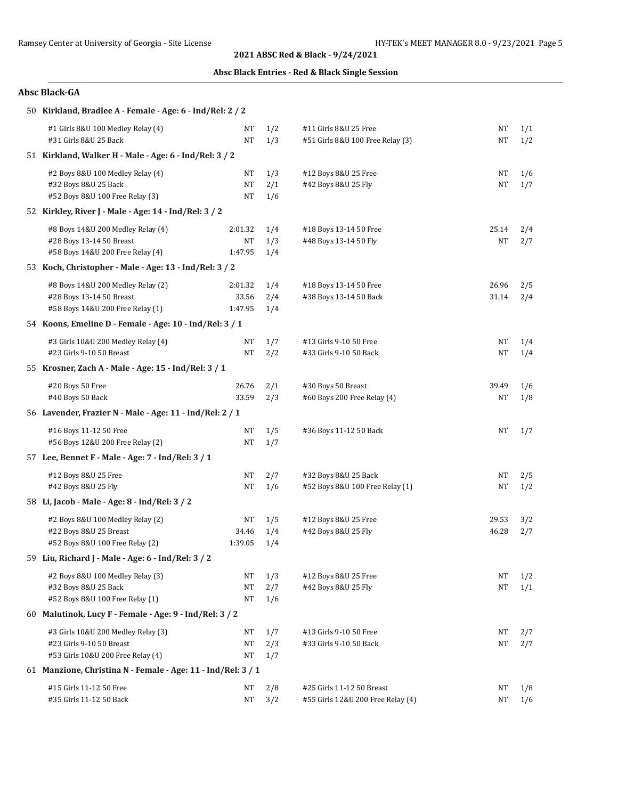## **Absc Black Entries - Red & Black Single Session**

| 50 Kirkland, Bradlee A - Female - Age: 6 - Ind/Rel: 2 / 2    |         |     |                                   |       |     |
|--------------------------------------------------------------|---------|-----|-----------------------------------|-------|-----|
| #1 Girls 8&U 100 Medley Relay (4)                            | NT      | 1/2 | #11 Girls 8&U 25 Free             | NΤ    | 1/1 |
| #31 Girls 8&U 25 Back                                        | NT      | 1/3 | #51 Girls 8&U 100 Free Relay (3)  | NΤ    | 1/2 |
| 51 Kirkland, Walker H - Male - Age: 6 - Ind/Rel: 3 / 2       |         |     |                                   |       |     |
| #2 Boys 8&U 100 Medley Relay (4)                             | NΤ      | 1/3 | #12 Boys 8&U 25 Free              | NΤ    | 1/6 |
| #32 Boys 8&U 25 Back                                         | NT      | 2/1 | #42 Boys 8&U 25 Fly               | NT    | 1/7 |
| #52 Boys 8&U 100 Free Relay (3)                              | NT      | 1/6 |                                   |       |     |
| 52 Kirkley, River J - Male - Age: 14 - Ind/Rel: 3 / 2        |         |     |                                   |       |     |
| #8 Boys 14&U 200 Medley Relay (4)                            | 2:01.32 | 1/4 | #18 Boys 13-14 50 Free            | 25.14 | 2/4 |
| #28 Boys 13-14 50 Breast                                     | NT      | 1/3 | #48 Boys 13-14 50 Fly             | NT    | 2/7 |
| #58 Boys 14&U 200 Free Relay (4)                             | 1:47.95 | 1/4 |                                   |       |     |
| 53 Koch, Christopher - Male - Age: 13 - Ind/Rel: 3 / 2       |         |     |                                   |       |     |
| #8 Boys 14&U 200 Medley Relay (2)                            | 2:01.32 | 1/4 | #18 Boys 13-14 50 Free            | 26.96 | 2/5 |
| #28 Boys 13-14 50 Breast                                     | 33.56   | 2/4 | #38 Boys 13-14 50 Back            | 31.14 | 2/4 |
| #58 Boys 14&U 200 Free Relay (1)                             | 1:47.95 | 1/4 |                                   |       |     |
| 54 Koons, Emeline D - Female - Age: 10 - Ind/Rel: 3 / 1      |         |     |                                   |       |     |
| #3 Girls 10&U 200 Medley Relay (4)                           | NT      | 1/7 | #13 Girls 9-10 50 Free            | NΤ    | 1/4 |
| #23 Girls 9-10 50 Breast                                     | NT      | 2/2 | #33 Girls 9-10 50 Back            | NT    | 1/4 |
| 55 Krosner, Zach A - Male - Age: 15 - Ind/Rel: 3 / 1         |         |     |                                   |       |     |
| #20 Boys 50 Free                                             | 26.76   | 2/1 | #30 Boys 50 Breast                | 39.49 | 1/6 |
| #40 Boys 50 Back                                             | 33.59   | 2/3 | #60 Boys 200 Free Relay (4)       | NΤ    | 1/8 |
| 56 Lavender, Frazier N - Male - Age: 11 - Ind/Rel: 2 / 1     |         |     |                                   |       |     |
| #16 Boys 11-12 50 Free                                       | NT      | 1/5 | #36 Boys 11-12 50 Back            | NΤ    | 1/7 |
| #56 Boys 12&U 200 Free Relay (2)                             | NT      | 1/7 |                                   |       |     |
| 57 Lee, Bennet F - Male - Age: 7 - Ind/Rel: 3 / 1            |         |     |                                   |       |     |
| #12 Boys 8&U 25 Free                                         | NT      | 2/7 | #32 Boys 8&U 25 Back              | NΤ    | 2/5 |
| #42 Boys 8&U 25 Fly                                          | NT      | 1/6 | #52 Boys 8&U 100 Free Relay (1)   | NT    | 1/2 |
| 58 Li, Jacob - Male - Age: 8 - Ind/Rel: 3 / 2                |         |     |                                   |       |     |
| #2 Boys 8&U 100 Medley Relay (2)                             | NT      | 1/5 | #12 Boys 8&U 25 Free              | 29.53 | 3/2 |
| #22 Boys 8&U 25 Breast                                       | 34.46   | 1/4 | #42 Boys 8&U 25 Fly               | 46.28 | 2/7 |
| #52 Boys 8&U 100 Free Relay (2)                              | 1:39.05 | 1/4 |                                   |       |     |
| 59 Liu, Richard J - Male - Age: 6 - Ind/Rel: 3 / 2           |         |     |                                   |       |     |
| #2 Boys 8&U 100 Medley Relay (3)                             | NΤ      | 1/3 | #12 Boys 8&U 25 Free              | NT    | 1/2 |
| #32 Boys 8&U 25 Back                                         | NT      | 2/7 | #42 Boys 8&U 25 Fly               | NΤ    | 1/1 |
| #52 Boys 8&U 100 Free Relay (1)                              | NT      | 1/6 |                                   |       |     |
| 60 Malutinok, Lucy F - Female - Age: 9 - Ind/Rel: 3 / 2      |         |     |                                   |       |     |
| #3 Girls 10&U 200 Medley Relay (3)                           | NT      | 1/7 | #13 Girls 9-10 50 Free            | NT    | 2/7 |
| #23 Girls 9-10 50 Breast                                     | NT      | 2/3 | #33 Girls 9-10 50 Back            | NΤ    | 2/7 |
| #53 Girls 10&U 200 Free Relay (4)                            | NT      | 1/7 |                                   |       |     |
| 61 Manzione, Christina N - Female - Age: 11 - Ind/Rel: 3 / 1 |         |     |                                   |       |     |
| #15 Girls 11-12 50 Free                                      | NΤ      | 2/8 | #25 Girls 11-12 50 Breast         | NT    | 1/8 |
| #35 Girls 11-12 50 Back                                      | NT      | 3/2 | #55 Girls 12&U 200 Free Relay (4) | NT    | 1/6 |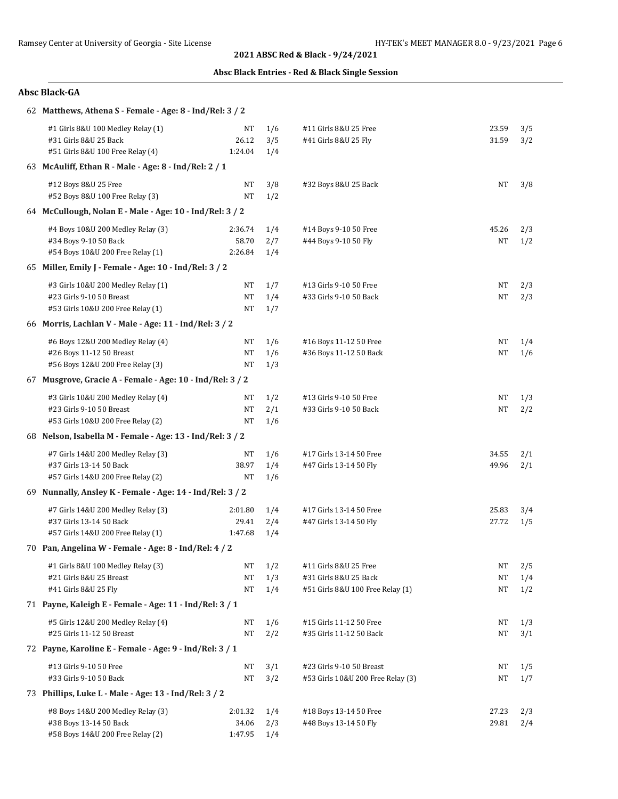| 62 Matthews, Athena S - Female - Age: 8 - Ind/Rel: 3 / 2  |           |     |                                   |           |     |
|-----------------------------------------------------------|-----------|-----|-----------------------------------|-----------|-----|
| #1 Girls 8&U 100 Medley Relay (1)                         | NT        | 1/6 | #11 Girls 8&U 25 Free             | 23.59     | 3/5 |
| #31 Girls 8&U 25 Back                                     | 26.12     | 3/5 | #41 Girls 8&U 25 Fly              | 31.59     | 3/2 |
| #51 Girls 8&U 100 Free Relay (4)                          | 1:24.04   | 1/4 |                                   |           |     |
| 63 McAuliff, Ethan R - Male - Age: 8 - Ind/Rel: 2 / 1     |           |     |                                   |           |     |
| #12 Boys 8&U 25 Free                                      | NT        | 3/8 | #32 Boys 8&U 25 Back              | <b>NT</b> | 3/8 |
| #52 Boys 8&U 100 Free Relay (3)                           | NT        | 1/2 |                                   |           |     |
| 64 McCullough, Nolan E - Male - Age: 10 - Ind/Rel: 3 / 2  |           |     |                                   |           |     |
| #4 Boys 10&U 200 Medley Relay (3)                         | 2:36.74   | 1/4 | #14 Boys 9-10 50 Free             | 45.26     | 2/3 |
| #34 Boys 9-10 50 Back                                     | 58.70     | 2/7 | #44 Boys 9-10 50 Fly              | <b>NT</b> | 1/2 |
| #54 Boys 10&U 200 Free Relay (1)                          | 2:26.84   | 1/4 |                                   |           |     |
| 65 Miller, Emily J - Female - Age: 10 - Ind/Rel: 3 / 2    |           |     |                                   |           |     |
| #3 Girls 10&U 200 Medley Relay (1)                        | NT        | 1/7 | #13 Girls 9-10 50 Free            | NT        | 2/3 |
| #23 Girls 9-10 50 Breast                                  | NT        | 1/4 | #33 Girls 9-10 50 Back            | NT        | 2/3 |
| #53 Girls 10&U 200 Free Relay (1)                         | NΤ        | 1/7 |                                   |           |     |
| 66 Morris, Lachlan V - Male - Age: 11 - Ind/Rel: 3 / 2    |           |     |                                   |           |     |
| #6 Boys 12&U 200 Medley Relay (4)                         | NT        | 1/6 | #16 Boys 11-12 50 Free            | NT        | 1/4 |
| #26 Boys 11-12 50 Breast                                  | NT        | 1/6 | #36 Boys 11-12 50 Back            | NT        | 1/6 |
| #56 Boys 12&U 200 Free Relay (3)                          | NΤ        | 1/3 |                                   |           |     |
| 67 Musgrove, Gracie A - Female - Age: 10 - Ind/Rel: 3 / 2 |           |     |                                   |           |     |
| #3 Girls 10&U 200 Medley Relay (4)                        | NT        | 1/2 | #13 Girls 9-10 50 Free            | NT        | 1/3 |
| #23 Girls 9-10 50 Breast                                  | <b>NT</b> | 2/1 | #33 Girls 9-10 50 Back            | NT        | 2/2 |
| #53 Girls 10&U 200 Free Relay (2)                         | NT        | 1/6 |                                   |           |     |
| 68 Nelson, Isabella M - Female - Age: 13 - Ind/Rel: 3 / 2 |           |     |                                   |           |     |
| #7 Girls 14&U 200 Medley Relay (3)                        | NT        | 1/6 | #17 Girls 13-14 50 Free           | 34.55     | 2/1 |
| #37 Girls 13-14 50 Back                                   | 38.97     | 1/4 | #47 Girls 13-14 50 Fly            | 49.96     | 2/1 |
| #57 Girls 14&U 200 Free Relay (2)                         | NT        | 1/6 |                                   |           |     |
| 69 Nunnally, Ansley K - Female - Age: 14 - Ind/Rel: 3 / 2 |           |     |                                   |           |     |
| #7 Girls 14&U 200 Medley Relay (3)                        | 2:01.80   | 1/4 | #17 Girls 13-14 50 Free           | 25.83     | 3/4 |
| #37 Girls 13-14 50 Back                                   | 29.41     | 2/4 | #47 Girls 13-14 50 Fly            | 27.72     | 1/5 |
| #57 Girls 14&U 200 Free Relay (1)                         | 1:47.68   | 1/4 |                                   |           |     |
| 70 Pan, Angelina W - Female - Age: 8 - Ind/Rel: 4 / 2     |           |     |                                   |           |     |
| #1 Girls 8&U 100 Medley Relay (3)                         | NΤ        | 1/2 | #11 Girls 8&U 25 Free             | NT        | 2/5 |
| #21 Girls 8&U 25 Breast                                   | NT        | 1/3 | #31 Girls 8&U 25 Back             | NT        | 1/4 |
| #41 Girls 8&U 25 Fly                                      | NT        | 1/4 | #51 Girls 8&U 100 Free Relay (1)  | NT        | 1/2 |
| 71 Payne, Kaleigh E - Female - Age: 11 - Ind/Rel: 3 / 1   |           |     |                                   |           |     |
| #5 Girls 12&U 200 Medley Relay (4)                        | NT        | 1/6 | #15 Girls 11-12 50 Free           | NΤ        | 1/3 |
| #25 Girls 11-12 50 Breast                                 | NT        | 2/2 | #35 Girls 11-12 50 Back           | NT        | 3/1 |
| 72 Payne, Karoline E - Female - Age: 9 - Ind/Rel: 3 / 1   |           |     |                                   |           |     |
| #13 Girls 9-10 50 Free                                    | NT        | 3/1 | #23 Girls 9-10 50 Breast          | NΤ        | 1/5 |
| #33 Girls 9-10 50 Back                                    | NT        | 3/2 | #53 Girls 10&U 200 Free Relay (3) | NΤ        | 1/7 |
| 73 Phillips, Luke L - Male - Age: 13 - Ind/Rel: 3 / 2     |           |     |                                   |           |     |
| #8 Boys 14&U 200 Medley Relay (3)                         | 2:01.32   | 1/4 | #18 Boys 13-14 50 Free            | 27.23     | 2/3 |
| #38 Boys 13-14 50 Back                                    | 34.06     | 2/3 | #48 Boys 13-14 50 Fly             | 29.81     | 2/4 |
| #58 Boys 14&U 200 Free Relay (2)                          | 1:47.95   | 1/4 |                                   |           |     |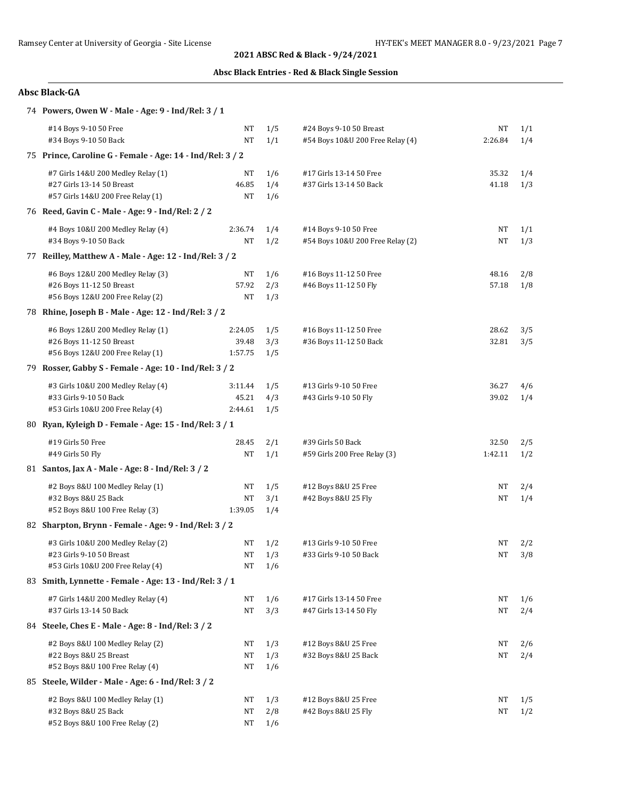## **Absc Black Entries - Red & Black Single Session**

| 74 Powers, Owen W - Male - Age: 9 - Ind/Rel: 3 / 1        |         |     |                                  |           |     |
|-----------------------------------------------------------|---------|-----|----------------------------------|-----------|-----|
| #14 Boys 9-10 50 Free                                     | NT      | 1/5 | #24 Boys 9-10 50 Breast          | NT        | 1/1 |
| #34 Boys 9-10 50 Back                                     | NT      | 1/1 | #54 Boys 10&U 200 Free Relay (4) | 2:26.84   | 1/4 |
| 75 Prince, Caroline G - Female - Age: 14 - Ind/Rel: 3 / 2 |         |     |                                  |           |     |
| #7 Girls 14&U 200 Medley Relay (1)                        | NT      | 1/6 | #17 Girls 13-14 50 Free          | 35.32     | 1/4 |
| #27 Girls 13-14 50 Breast                                 | 46.85   | 1/4 | #37 Girls 13-14 50 Back          | 41.18     | 1/3 |
| #57 Girls 14&U 200 Free Relay (1)                         | NT      | 1/6 |                                  |           |     |
| 76 Reed, Gavin C - Male - Age: 9 - Ind/Rel: 2 / 2         |         |     |                                  |           |     |
| #4 Boys 10&U 200 Medley Relay (4)                         | 2:36.74 | 1/4 | #14 Boys 9-10 50 Free            | NT        | 1/1 |
| #34 Boys 9-10 50 Back                                     | NT      | 1/2 | #54 Boys 10&U 200 Free Relay (2) | NT        | 1/3 |
| 77 Reilley, Matthew A - Male - Age: 12 - Ind/Rel: 3 / 2   |         |     |                                  |           |     |
| #6 Boys 12&U 200 Medley Relay (3)                         | NT      | 1/6 | #16 Boys 11-12 50 Free           | 48.16     | 2/8 |
| #26 Boys 11-12 50 Breast                                  | 57.92   | 2/3 | #46 Boys 11-12 50 Fly            | 57.18     | 1/8 |
| #56 Boys 12&U 200 Free Relay (2)                          | NT      | 1/3 |                                  |           |     |
| 78 Rhine, Joseph B - Male - Age: 12 - Ind/Rel: 3 / 2      |         |     |                                  |           |     |
| #6 Boys 12&U 200 Medley Relay (1)                         | 2:24.05 | 1/5 | #16 Boys 11-12 50 Free           | 28.62     | 3/5 |
| #26 Boys 11-12 50 Breast                                  | 39.48   | 3/3 | #36 Boys 11-12 50 Back           | 32.81     | 3/5 |
| #56 Boys 12&U 200 Free Relay (1)                          | 1:57.75 | 1/5 |                                  |           |     |
| 79 Rosser, Gabby S - Female - Age: 10 - Ind/Rel: 3 / 2    |         |     |                                  |           |     |
| #3 Girls 10&U 200 Medley Relay (4)                        | 3:11.44 | 1/5 | #13 Girls 9-10 50 Free           | 36.27     | 4/6 |
| #33 Girls 9-10 50 Back                                    | 45.21   | 4/3 | #43 Girls 9-10 50 Fly            | 39.02     | 1/4 |
| #53 Girls 10&U 200 Free Relay (4)                         | 2:44.61 | 1/5 |                                  |           |     |
| 80 Ryan, Kyleigh D - Female - Age: 15 - Ind/Rel: 3 / 1    |         |     |                                  |           |     |
| #19 Girls 50 Free                                         | 28.45   | 2/1 | #39 Girls 50 Back                | 32.50     | 2/5 |
| #49 Girls 50 Fly                                          | NT      | 1/1 | #59 Girls 200 Free Relay (3)     | 1:42.11   | 1/2 |
| 81 Santos, Jax A - Male - Age: 8 - Ind/Rel: 3 / 2         |         |     |                                  |           |     |
| #2 Boys 8&U 100 Medley Relay (1)                          | NT      | 1/5 | #12 Boys 8&U 25 Free             | NT        | 2/4 |
| #32 Boys 8&U 25 Back                                      | NT      | 3/1 | #42 Boys 8&U 25 Fly              | NT        | 1/4 |
| #52 Boys 8&U 100 Free Relay (3)                           | 1:39.05 | 1/4 |                                  |           |     |
| 82 Sharpton, Brynn - Female - Age: 9 - Ind/Rel: 3 / 2     |         |     |                                  |           |     |
| #3 Girls 10&U 200 Medley Relay (2)                        | NT      | 1/2 | #13 Girls 9-10 50 Free           | NT        | 2/2 |
| #23 Girls 9-10 50 Breast                                  | NT      | 1/3 | #33 Girls 9-10 50 Back           | NT        | 3/8 |
| #53 Girls 10&U 200 Free Relay (4)                         | NT      | 1/6 |                                  |           |     |
| 83 Smith, Lynnette - Female - Age: 13 - Ind/Rel: 3 / 1    |         |     |                                  |           |     |
| #7 Girls 14&U 200 Medley Relay (4)                        | NT      | 1/6 | #17 Girls 13-14 50 Free          | NT        | 1/6 |
| #37 Girls 13-14 50 Back                                   | NT      | 3/3 | #47 Girls 13-14 50 Fly           | NT        | 2/4 |
| 84 Steele, Ches E - Male - Age: 8 - Ind/Rel: 3 / 2        |         |     |                                  |           |     |
| #2 Boys 8&U 100 Medley Relay (2)                          | NT      | 1/3 | #12 Boys 8&U 25 Free             | NT        | 2/6 |
| #22 Boys 8&U 25 Breast                                    | NT      | 1/3 | #32 Boys 8&U 25 Back             | NT        | 2/4 |
| #52 Boys 8&U 100 Free Relay (4)                           | NΤ      | 1/6 |                                  |           |     |
| 85 Steele, Wilder - Male - Age: 6 - Ind/Rel: 3 / 2        |         |     |                                  |           |     |
| #2 Boys 8&U 100 Medley Relay (1)                          | NT      | 1/3 | #12 Boys 8&U 25 Free             | NΤ        | 1/5 |
| #32 Boys 8&U 25 Back                                      | NT      | 2/8 | #42 Boys 8&U 25 Fly              | <b>NT</b> | 1/2 |
| #52 Boys 8&U 100 Free Relay (2)                           | NT      | 1/6 |                                  |           |     |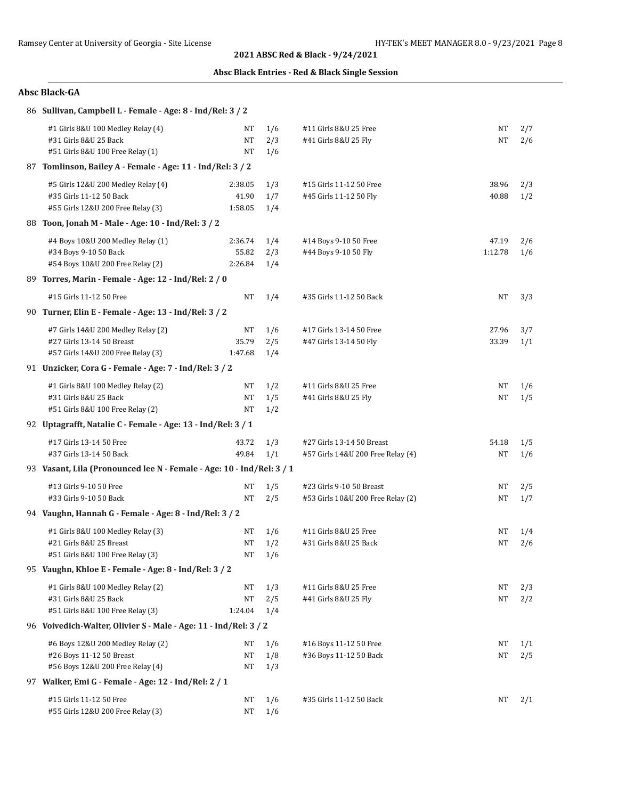| 86 Sullivan, Campbell L - Female - Age: 8 - Ind/Rel: 3 / 2                                           |                             |                          |                                                                |                  |            |  |  |
|------------------------------------------------------------------------------------------------------|-----------------------------|--------------------------|----------------------------------------------------------------|------------------|------------|--|--|
| #1 Girls 8&U 100 Medley Relay (4)<br>#31 Girls 8&U 25 Back<br>#51 Girls 8&U 100 Free Relay (1)       | NΤ<br><b>NT</b><br>NT       | 1/6<br>2/3<br>1/6        | #11 Girls 8&U 25 Free<br>#41 Girls 8&U 25 Fly                  | NΤ<br>NT         | 2/7<br>2/6 |  |  |
| 87 Tomlinson, Bailey A - Female - Age: 11 - Ind/Rel: 3 / 2                                           |                             |                          |                                                                |                  |            |  |  |
| #5 Girls 12&U 200 Medley Relay (4)<br>#35 Girls 11-12 50 Back<br>#55 Girls 12&U 200 Free Relay (3)   | 2:38.05<br>41.90<br>1:58.05 | 1/3<br>1/7<br>1/4        | #15 Girls 11-12 50 Free<br>#45 Girls 11-12 50 Fly              | 38.96<br>40.88   | 2/3<br>1/2 |  |  |
| 88 Toon, Jonah M - Male - Age: 10 - Ind/Rel: 3 / 2                                                   |                             |                          |                                                                |                  |            |  |  |
| #4 Boys 10&U 200 Medley Relay (1)<br>#34 Boys 9-10 50 Back<br>#54 Boys 10&U 200 Free Relay (2)       | 2:36.74<br>55.82<br>2:26.84 | 1/4<br>2/3<br>1/4        | #14 Boys 9-10 50 Free<br>#44 Boys 9-10 50 Fly                  | 47.19<br>1:12.78 | 2/6<br>1/6 |  |  |
| 89 Torres, Marin - Female - Age: 12 - Ind/Rel: 2 / 0                                                 |                             |                          |                                                                |                  |            |  |  |
| #15 Girls 11-12 50 Free                                                                              | NT                          | 1/4                      | #35 Girls 11-12 50 Back                                        | NΤ               | 3/3        |  |  |
| 90 Turner, Elin E - Female - Age: 13 - Ind/Rel: 3 / 2                                                |                             |                          |                                                                |                  |            |  |  |
| #7 Girls 14&U 200 Medley Relay (2)<br>#27 Girls 13-14 50 Breast<br>#57 Girls 14&U 200 Free Relay (3) | NT<br>35.79<br>1:47.68      | 1/6<br>2/5<br>1/4        | #17 Girls 13-14 50 Free<br>#47 Girls 13-14 50 Fly              | 27.96<br>33.39   | 3/7<br>1/1 |  |  |
| 91 Unzicker, Cora G - Female - Age: 7 - Ind/Rel: 3 / 2                                               |                             |                          |                                                                |                  |            |  |  |
| #1 Girls 8&U 100 Medley Relay (2)<br>#31 Girls 8&U 25 Back<br>#51 Girls 8&U 100 Free Relay (2)       | NT<br>NT<br>NT              | 1/2<br>1/5<br>1/2        | #11 Girls 8&U 25 Free<br>#41 Girls 8&U 25 Fly                  | NΤ<br>NT         | 1/6<br>1/5 |  |  |
| 92 Uptagrafft, Natalie C - Female - Age: 13 - Ind/Rel: 3 / 1                                         |                             |                          |                                                                |                  |            |  |  |
| #17 Girls 13-14 50 Free<br>#37 Girls 13-14 50 Back                                                   | 43.72<br>49.84              | 1/3<br>1/1               | #27 Girls 13-14 50 Breast<br>#57 Girls 14&U 200 Free Relay (4) | 54.18<br>NT      | 1/5<br>1/6 |  |  |
| 93 Vasant, Lila (Pronounced lee N - Female - Age: 10 - Ind/Rel: 3 / 1                                |                             |                          |                                                                |                  |            |  |  |
| #13 Girls 9-10 50 Free<br>#33 Girls 9-10 50 Back                                                     | NT<br>NT                    | 1/5<br>2/5               | #23 Girls 9-10 50 Breast<br>#53 Girls 10&U 200 Free Relay (2)  | NΤ<br>NT         | 2/5<br>1/7 |  |  |
| 94 Vaughn, Hannah G - Female - Age: 8 - Ind/Rel: 3 / 2                                               |                             |                          |                                                                |                  |            |  |  |
| #1 Girls 8&U 100 Medley Relay (3)<br>#21 Girls 8&U 25 Breast<br>#51 Girls 8&U 100 Free Relay (3)     | NT<br>NT                    | 1/6<br>1/2<br>$NT = 1/6$ | #11 Girls 8&U 25 Free<br>#31 Girls 8&U 25 Back                 | NΤ<br>NT         | 1/4<br>2/6 |  |  |
| 95 Vaughn, Khloe E - Female - Age: 8 - Ind/Rel: 3 / 2                                                |                             |                          |                                                                |                  |            |  |  |
| #1 Girls 8&U 100 Medley Relay (2)<br>#31 Girls 8&U 25 Back<br>#51 Girls 8&U 100 Free Relay (3)       | NT<br>$\rm{NT}$<br>1:24.04  | 1/3<br>2/5<br>1/4        | #11 Girls 8&U 25 Free<br>#41 Girls 8&U 25 Fly                  | NΤ<br>NT         | 2/3<br>2/2 |  |  |
| 96 Voivedich-Walter, Olivier S - Male - Age: 11 - Ind/Rel: 3 / 2                                     |                             |                          |                                                                |                  |            |  |  |
| #6 Boys 12&U 200 Medley Relay (2)<br>#26 Boys 11-12 50 Breast<br>#56 Boys 12&U 200 Free Relay (4)    | NΤ<br>NT<br>NT              | 1/6<br>1/8<br>1/3        | #16 Boys 11-12 50 Free<br>#36 Boys 11-12 50 Back               | NT<br>NΤ         | 1/1<br>2/5 |  |  |
| 97 Walker, Emi G - Female - Age: 12 - Ind/Rel: 2 / 1                                                 |                             |                          |                                                                |                  |            |  |  |
| #15 Girls 11-12 50 Free<br>#55 Girls 12&U 200 Free Relay (3)                                         | NΤ<br>$\rm{NT}$             | 1/6<br>1/6               | #35 Girls 11-12 50 Back                                        | NT               | 2/1        |  |  |